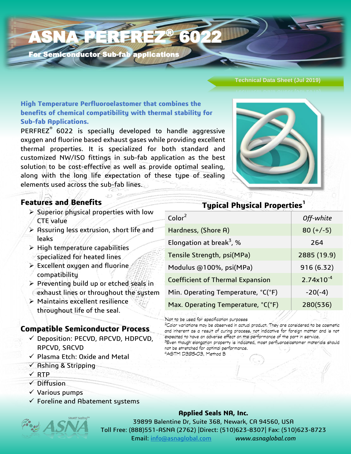For Semiconductor Sub-fab application

**ASNA PERFREZ** 

#### **Technical Data Sheet (Jul 2019)**

**High Temperature Perfluoroelastomer that combines the benefits of chemical compatibility with thermal stability for Sub-fab Applications.**

PERFREZ® 6022 is specially developed to handle aggressive oxygen and fluorine based exhaust gases while providing excellent thermal properties. It is specialized for both standard and customized NW/ISO fittings in sub-fab application as the best solution to be cost-effective as well as provide optimal sealing, along with the long life expectation of these type of sealing elements used across the sub-fab lines.



## **Features and Benefits**

- $\triangleright$  Superior physical properties with low CTE value
- $\triangleright$  Assuring less extrusion, short life and leaks
- $\triangleright$  High temperature capabilities specialized for heated lines
- $\triangleright$  Excellent oxygen and fluorine compatibility
- $\triangleright$  Preventing build up or etched seals in exhaust lines or throughout the system
- Maintains excellent resilience throughout life of the seal.

## **Compatible Semiconductor Process**

- $\checkmark$  Deposition: PECVD, APCVD, HDPCVD, RPCVD, SACVD
- $\checkmark$  Plasma Etch: Oxide and Metal
- $\checkmark$  Ashing & Stripping
- $\times$  RTP
- $\sqrt{D}$ iffusion
- $\checkmark$  Various pumps
- $\checkmark$  Foreline and Abatement systems



### **Applied Seals NA, Inc.**

39899 Balentine Dr, Suite 368, Newark, CA 94560, USA Toll Free: (888)551-ASNA (2762) |Direct: (510)623-8307| Fax: (510)623-8723 Email: [info@asnaglobal.com](mailto:info@asnaglobal.com) *www.asnaglobal.com*

# **Typical Physical Properties<sup>1</sup>** Color<sup>2</sup> *Off-white* Hardness,  $(Shore A)$  80 (+/-5) Elongation at break<sup>3</sup>, % 264 Tensile Strength, psi(MPa) 2885 (19.9) Modulus @100%, psi(MPa) 916 (6.32) Coefficient of Thermal Expansion  $\vert$  2.74x10<sup>-4</sup> Min. Operating Temperature,  $°C(^{\circ}F)$  | -20(-4) Max. Operating Temperature, °C(°F) | 280(536)

Not to be used for specification purposes

6022

<sup>2</sup>Color variations may be observed in actual product. They are considered to be cosmetic and inherent as a result of curing process, not indicative for foreign matter and is not expected to have an adverse effect on the performance of the part in service.

<sup>3</sup>Even though elongation property is indicated, most perfluoroelastomer materials should not be stretched for optimal performance. 4ASTM D395-03, Method B